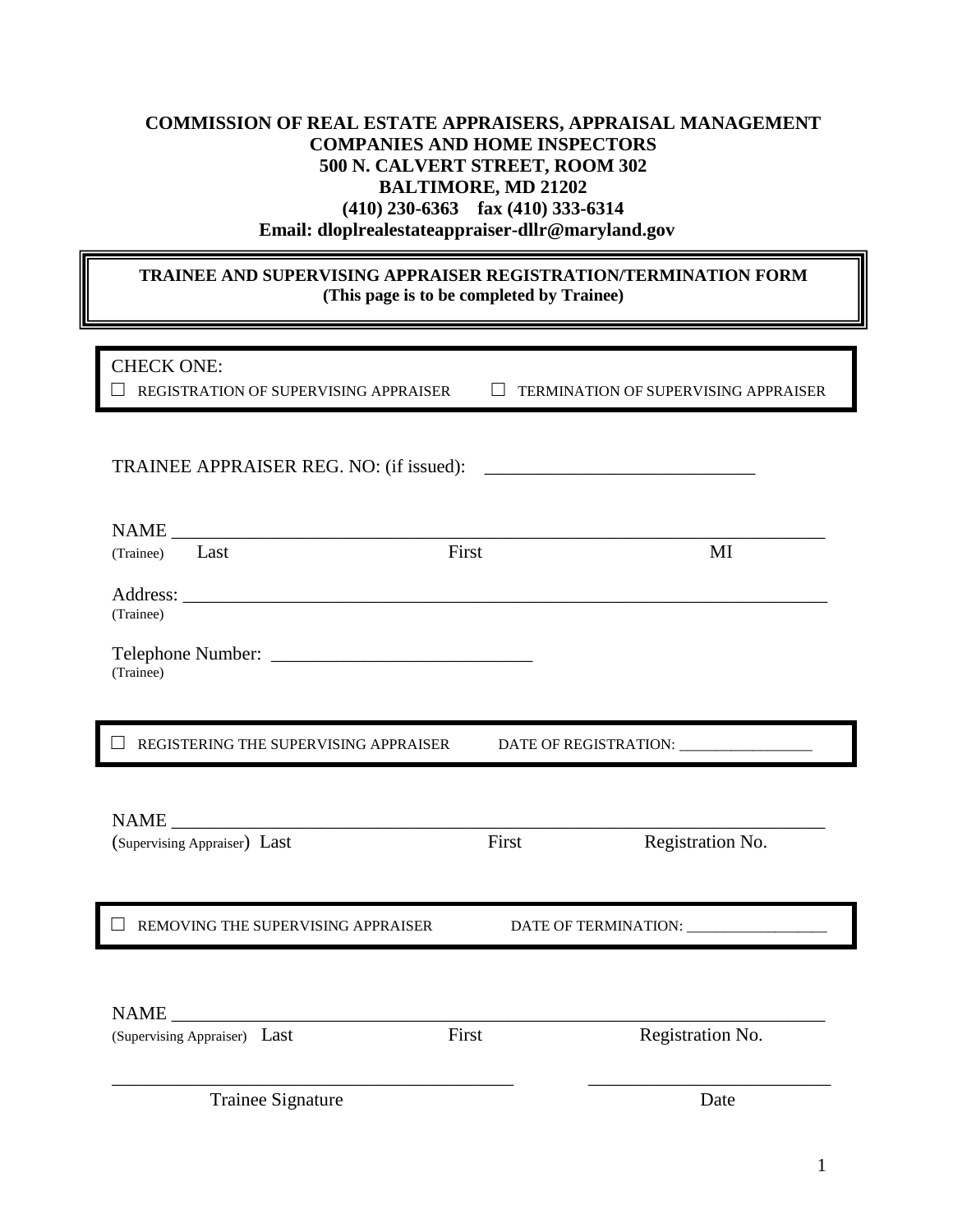## **COMMISSION OF REAL ESTATE APPRAISERS, APPRAISAL MANAGEMENT COMPANIES AND HOME INSPECTORS 500 N. CALVERT STREET, ROOM 302 BALTIMORE, MD 21202 (410) 230-6363 fax (410) 333-6314 Email: dloplrealestateappraiser-dllr@maryland.gov**

## **TRAINEE AND SUPERVISING APPRAISER REGISTRATION/TERMINATION FORM (This page is to be completed by Trainee)**

| <b>CHECK ONE:</b>                           |       |                                         |
|---------------------------------------------|-------|-----------------------------------------|
| REGISTRATION OF SUPERVISING APPRAISER       |       | TERMINATION OF SUPERVISING APPRAISER    |
|                                             |       |                                         |
|                                             |       |                                         |
| TRAINEE APPRAISER REG. NO: (if issued):     |       |                                         |
|                                             |       |                                         |
| NAME                                        |       |                                         |
| (Trainee) Last                              | First | MI                                      |
|                                             |       |                                         |
| (Trainee)                                   |       |                                         |
|                                             |       |                                         |
|                                             |       |                                         |
| (Trainee)                                   |       |                                         |
|                                             |       |                                         |
| REGISTERING THE SUPERVISING APPRAISER       |       | DATE OF REGISTRATION: _________________ |
|                                             |       |                                         |
|                                             |       |                                         |
|                                             |       |                                         |
| (Supervising Appraiser) Last                | First | Registration No.                        |
|                                             |       |                                         |
|                                             |       |                                         |
| REMOVING THE SUPERVISING APPRAISER          |       |                                         |
|                                             |       |                                         |
|                                             |       |                                         |
|                                             |       |                                         |
| <b>NAME</b><br>(Supervising Appraiser) Last | First | Registration No.                        |
|                                             |       |                                         |
|                                             |       |                                         |
| Trainee Signature                           |       | Date                                    |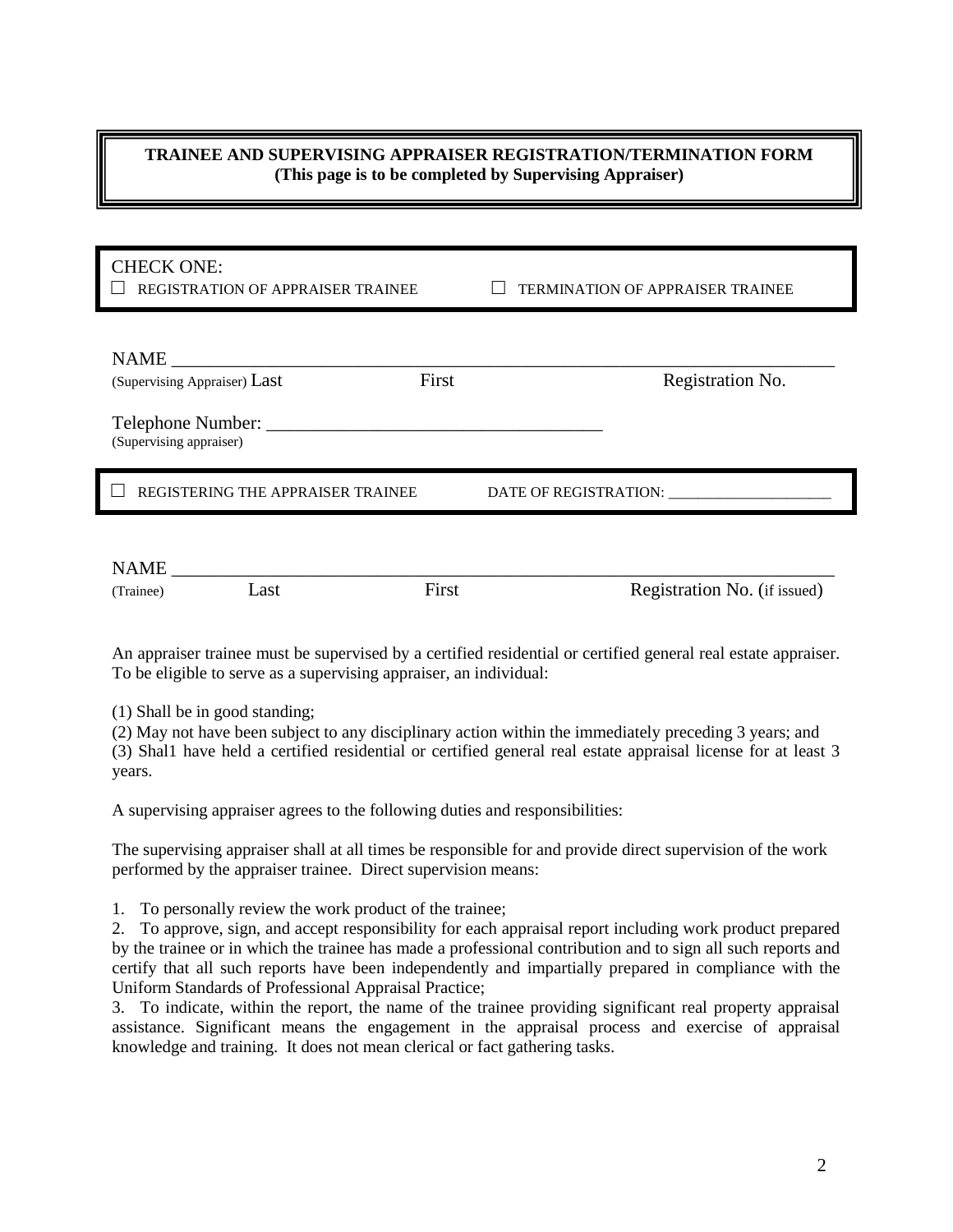## **TRAINEE AND SUPERVISING APPRAISER REGISTRATION/TERMINATION FORM (This page is to be completed by Supervising Appraiser)**

| <b>CHECK ONE:</b><br><b>REGISTRATION OF APPRAISER TRAINEE</b>                                        | <b>TERMINATION OF APPRAISER TRAINEE</b> |  |
|------------------------------------------------------------------------------------------------------|-----------------------------------------|--|
| <b>NAME</b><br>First<br>(Supervising Appraiser) Last<br>Telephone Number:<br>(Supervising appraiser) | Registration No.                        |  |
| REGISTERING THE APPRAISER TRAINEE                                                                    | DATE OF REGISTRATION:                   |  |
|                                                                                                      |                                         |  |

| <b>NAME</b> |      |       |                              |
|-------------|------|-------|------------------------------|
| (Trainee)   | Last | First | Registration No. (if issued) |

An appraiser trainee must be supervised by a certified residential or certified general real estate appraiser. To be eligible to serve as a supervising appraiser, an individual:

(1) Shall be in good standing;

(2) May not have been subject to any disciplinary action within the immediately preceding 3 years; and (3) Shal1 have held a certified residential or certified general real estate appraisal license for at least 3 years.

A supervising appraiser agrees to the following duties and responsibilities:

The supervising appraiser shall at all times be responsible for and provide direct supervision of the work performed by the appraiser trainee. Direct supervision means:

1. To personally review the work product of the trainee;

2. To approve, sign, and accept responsibility for each appraisal report including work product prepared by the trainee or in which the trainee has made a professional contribution and to sign all such reports and certify that all such reports have been independently and impartially prepared in compliance with the Uniform Standards of Professional Appraisal Practice;

3. To indicate, within the report, the name of the trainee providing significant real property appraisal assistance. Significant means the engagement in the appraisal process and exercise of appraisal knowledge and training. It does not mean clerical or fact gathering tasks.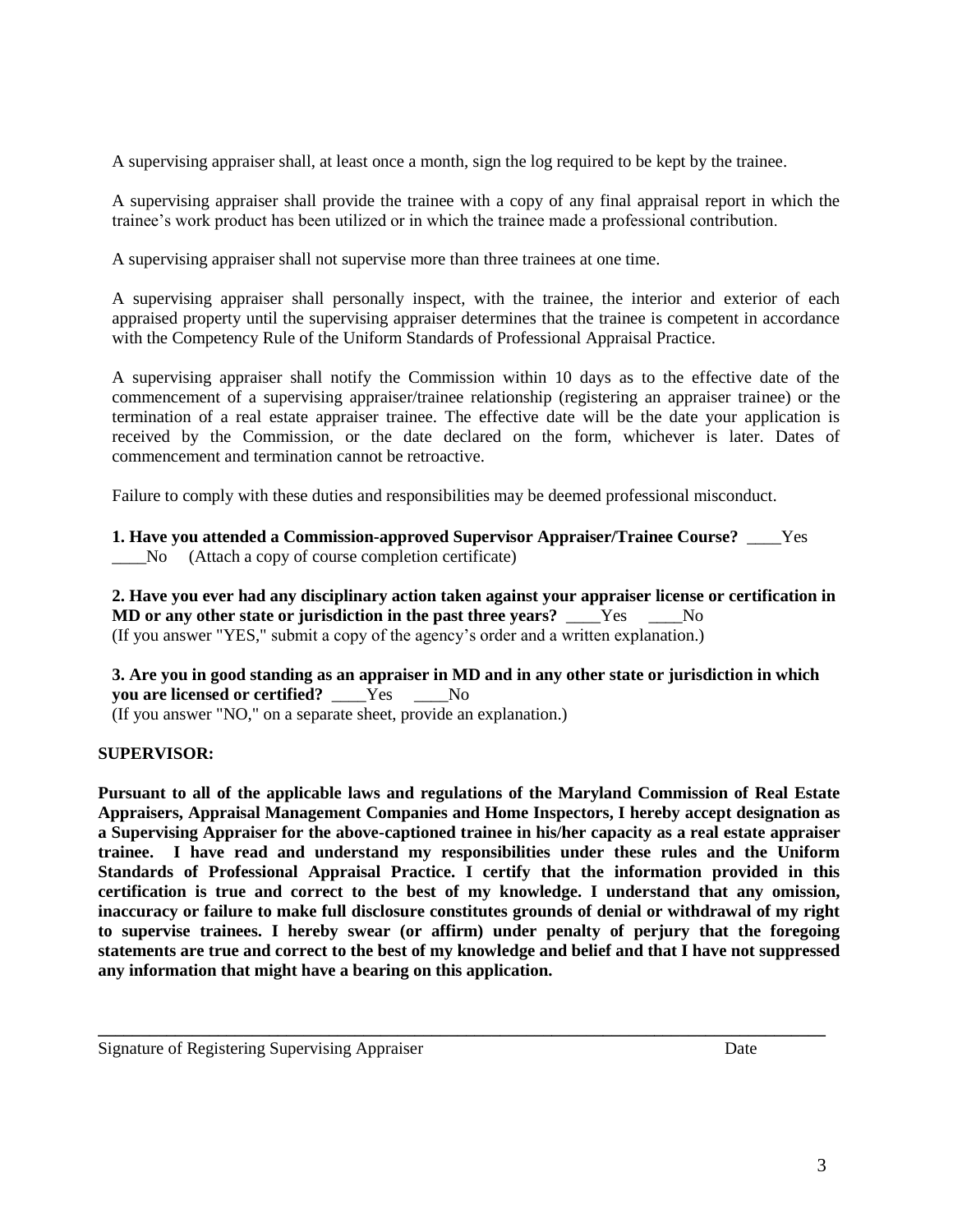A supervising appraiser shall, at least once a month, sign the log required to be kept by the trainee.

A supervising appraiser shall provide the trainee with a copy of any final appraisal report in which the trainee's work product has been utilized or in which the trainee made a professional contribution.

A supervising appraiser shall not supervise more than three trainees at one time.

A supervising appraiser shall personally inspect, with the trainee, the interior and exterior of each appraised property until the supervising appraiser determines that the trainee is competent in accordance with the Competency Rule of the Uniform Standards of Professional Appraisal Practice.

A supervising appraiser shall notify the Commission within 10 days as to the effective date of the commencement of a supervising appraiser/trainee relationship (registering an appraiser trainee) or the termination of a real estate appraiser trainee. The effective date will be the date your application is received by the Commission, or the date declared on the form, whichever is later. Dates of commencement and termination cannot be retroactive.

Failure to comply with these duties and responsibilities may be deemed professional misconduct.

**1. Have you attended a Commission-approved Supervisor Appraiser/Trainee Course?** \_\_\_\_Yes \_\_\_\_No (Attach a copy of course completion certificate)

**2. Have you ever had any disciplinary action taken against your appraiser license or certification in MD or any other state or jurisdiction in the past three years?** \_\_\_\_Yes \_\_\_\_No (If you answer "YES," submit a copy of the agency's order and a written explanation.)

**3. Are you in good standing as an appraiser in MD and in any other state or jurisdiction in which you are licensed or certified?** Yes No (If you answer "NO," on a separate sheet, provide an explanation.)

## **SUPERVISOR:**

**Pursuant to all of the applicable laws and regulations of the Maryland Commission of Real Estate Appraisers, Appraisal Management Companies and Home Inspectors, I hereby accept designation as a Supervising Appraiser for the above-captioned trainee in his/her capacity as a real estate appraiser trainee. I have read and understand my responsibilities under these rules and the Uniform Standards of Professional Appraisal Practice. I certify that the information provided in this certification is true and correct to the best of my knowledge. I understand that any omission, inaccuracy or failure to make full disclosure constitutes grounds of denial or withdrawal of my right to supervise trainees. I hereby swear (or affirm) under penalty of perjury that the foregoing statements are true and correct to the best of my knowledge and belief and that I have not suppressed any information that might have a bearing on this application.**

**\_\_\_\_\_\_\_\_\_\_\_\_\_\_\_\_\_\_\_\_\_\_\_\_\_\_\_\_\_\_\_\_\_\_\_\_\_\_\_\_\_\_\_\_\_\_\_\_\_\_\_\_\_\_\_\_\_\_\_\_\_\_\_\_\_\_\_\_\_\_\_\_\_\_\_\_\_\_\_\_\_\_\_\_\_**